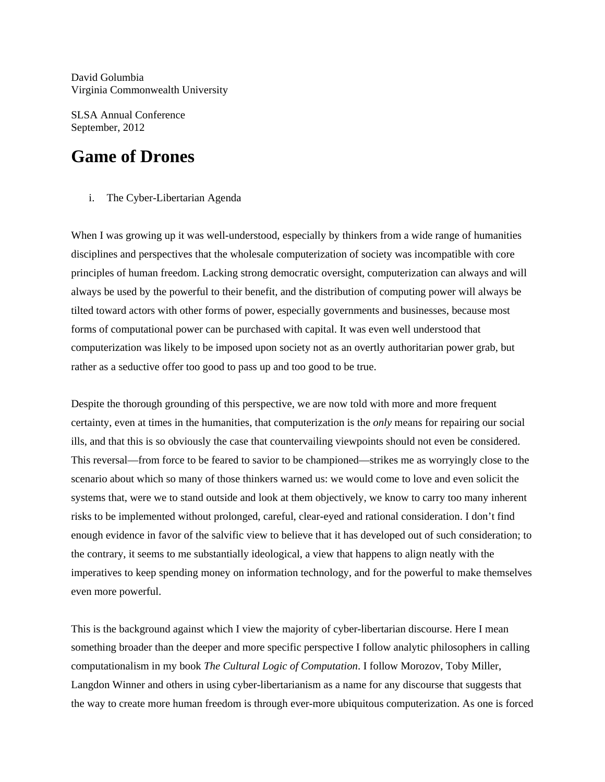David Golumbia Virginia Commonwealth University

SLSA Annual Conference September, 2012

# **Game of Drones**

i. The Cyber-Libertarian Agenda

When I was growing up it was well-understood, especially by thinkers from a wide range of humanities disciplines and perspectives that the wholesale computerization of society was incompatible with core principles of human freedom. Lacking strong democratic oversight, computerization can always and will always be used by the powerful to their benefit, and the distribution of computing power will always be tilted toward actors with other forms of power, especially governments and businesses, because most forms of computational power can be purchased with capital. It was even well understood that computerization was likely to be imposed upon society not as an overtly authoritarian power grab, but rather as a seductive offer too good to pass up and too good to be true.

Despite the thorough grounding of this perspective, we are now told with more and more frequent certainty, even at times in the humanities, that computerization is the *only* means for repairing our social ills, and that this is so obviously the case that countervailing viewpoints should not even be considered. This reversal—from force to be feared to savior to be championed—strikes me as worryingly close to the scenario about which so many of those thinkers warned us: we would come to love and even solicit the systems that, were we to stand outside and look at them objectively, we know to carry too many inherent risks to be implemented without prolonged, careful, clear-eyed and rational consideration. I don't find enough evidence in favor of the salvific view to believe that it has developed out of such consideration; to the contrary, it seems to me substantially ideological, a view that happens to align neatly with the imperatives to keep spending money on information technology, and for the powerful to make themselves even more powerful.

This is the background against which I view the majority of cyber-libertarian discourse. Here I mean something broader than the deeper and more specific perspective I follow analytic philosophers in calling computationalism in my book *The Cultural Logic of Computation*. I follow Morozov, Toby Miller, Langdon Winner and others in using cyber-libertarianism as a name for any discourse that suggests that the way to create more human freedom is through ever-more ubiquitous computerization. As one is forced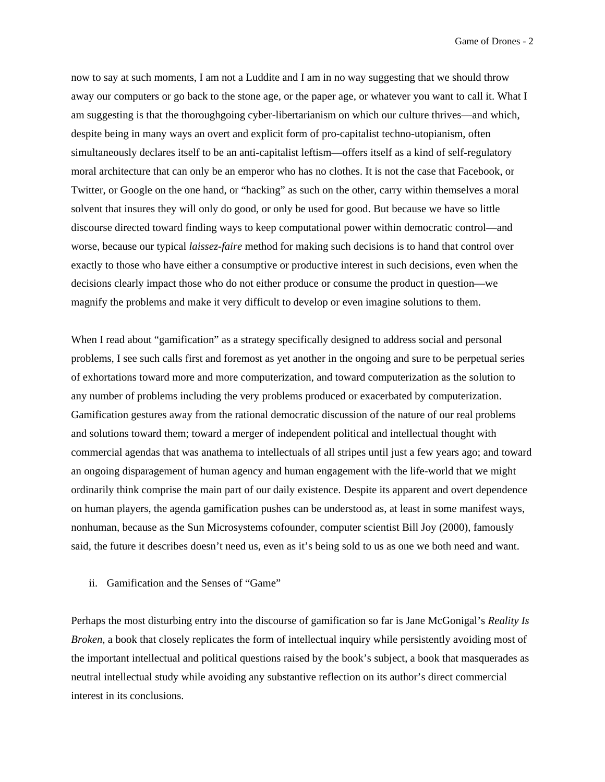now to say at such moments, I am not a Luddite and I am in no way suggesting that we should throw away our computers or go back to the stone age, or the paper age, or whatever you want to call it. What I am suggesting is that the thoroughgoing cyber-libertarianism on which our culture thrives—and which, despite being in many ways an overt and explicit form of pro-capitalist techno-utopianism, often simultaneously declares itself to be an anti-capitalist leftism—offers itself as a kind of self-regulatory moral architecture that can only be an emperor who has no clothes. It is not the case that Facebook, or Twitter, or Google on the one hand, or "hacking" as such on the other, carry within themselves a moral solvent that insures they will only do good, or only be used for good. But because we have so little discourse directed toward finding ways to keep computational power within democratic control—and worse, because our typical *laissez-faire* method for making such decisions is to hand that control over exactly to those who have either a consumptive or productive interest in such decisions, even when the decisions clearly impact those who do not either produce or consume the product in question—we magnify the problems and make it very difficult to develop or even imagine solutions to them.

When I read about "gamification" as a strategy specifically designed to address social and personal problems, I see such calls first and foremost as yet another in the ongoing and sure to be perpetual series of exhortations toward more and more computerization, and toward computerization as the solution to any number of problems including the very problems produced or exacerbated by computerization. Gamification gestures away from the rational democratic discussion of the nature of our real problems and solutions toward them; toward a merger of independent political and intellectual thought with commercial agendas that was anathema to intellectuals of all stripes until just a few years ago; and toward an ongoing disparagement of human agency and human engagement with the life-world that we might ordinarily think comprise the main part of our daily existence. Despite its apparent and overt dependence on human players, the agenda gamification pushes can be understood as, at least in some manifest ways, nonhuman, because as the Sun Microsystems cofounder, computer scientist Bill Joy (2000), famously said, the future it describes doesn't need us, even as it's being sold to us as one we both need and want.

## ii. Gamification and the Senses of "Game"

Perhaps the most disturbing entry into the discourse of gamification so far is Jane McGonigal's *Reality Is Broken*, a book that closely replicates the form of intellectual inquiry while persistently avoiding most of the important intellectual and political questions raised by the book's subject, a book that masquerades as neutral intellectual study while avoiding any substantive reflection on its author's direct commercial interest in its conclusions.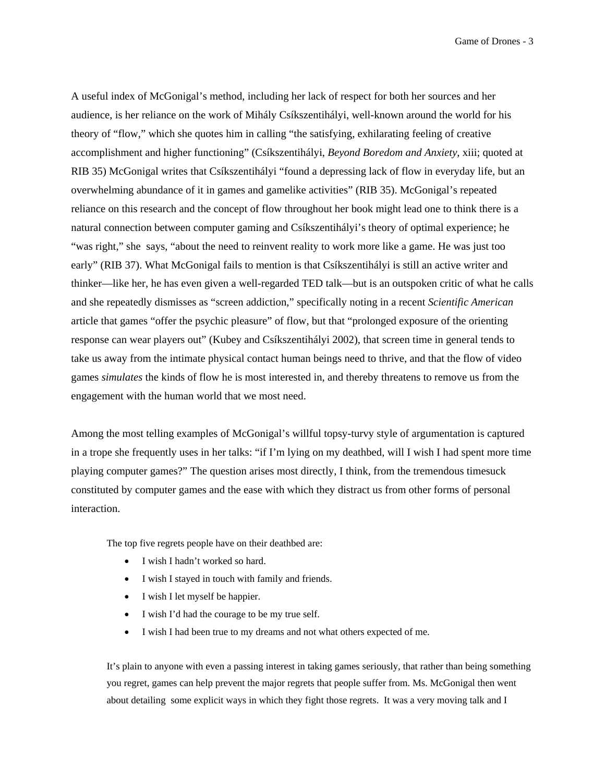Game of Drones - 3

A useful index of McGonigal's method, including her lack of respect for both her sources and her audience, is her reliance on the work of Mihály Csíkszentihályi, well-known around the world for his theory of "flow," which she quotes him in calling "the satisfying, exhilarating feeling of creative accomplishment and higher functioning" (Csíkszentihályi, *Beyond Boredom and Anxiety*, xiii; quoted at RIB 35) McGonigal writes that Csíkszentihályi "found a depressing lack of flow in everyday life, but an overwhelming abundance of it in games and gamelike activities" (RIB 35). McGonigal's repeated reliance on this research and the concept of flow throughout her book might lead one to think there is a natural connection between computer gaming and Csíkszentihályi's theory of optimal experience; he "was right," she says, "about the need to reinvent reality to work more like a game. He was just too early" (RIB 37). What McGonigal fails to mention is that Csíkszentihályi is still an active writer and thinker—like her, he has even given a well-regarded TED talk—but is an outspoken critic of what he calls and she repeatedly dismisses as "screen addiction," specifically noting in a recent *Scientific American* article that games "offer the psychic pleasure" of flow, but that "prolonged exposure of the orienting response can wear players out" (Kubey and Csíkszentihályi 2002), that screen time in general tends to take us away from the intimate physical contact human beings need to thrive, and that the flow of video games *simulates* the kinds of flow he is most interested in, and thereby threatens to remove us from the engagement with the human world that we most need.

Among the most telling examples of McGonigal's willful topsy-turvy style of argumentation is captured in a trope she frequently uses in her talks: "if I'm lying on my deathbed, will I wish I had spent more time playing computer games?" The question arises most directly, I think, from the tremendous timesuck constituted by computer games and the ease with which they distract us from other forms of personal interaction.

The top five regrets people have on their deathbed are:

- I wish I hadn't worked so hard.
- I wish I stayed in touch with family and friends.
- I wish I let myself be happier.
- I wish I'd had the courage to be my true self.
- I wish I had been true to my dreams and not what others expected of me.

It's plain to anyone with even a passing interest in taking games seriously, that rather than being something you regret, games can help prevent the major regrets that people suffer from. Ms. McGonigal then went about detailing some explicit ways in which they fight those regrets. It was a very moving talk and I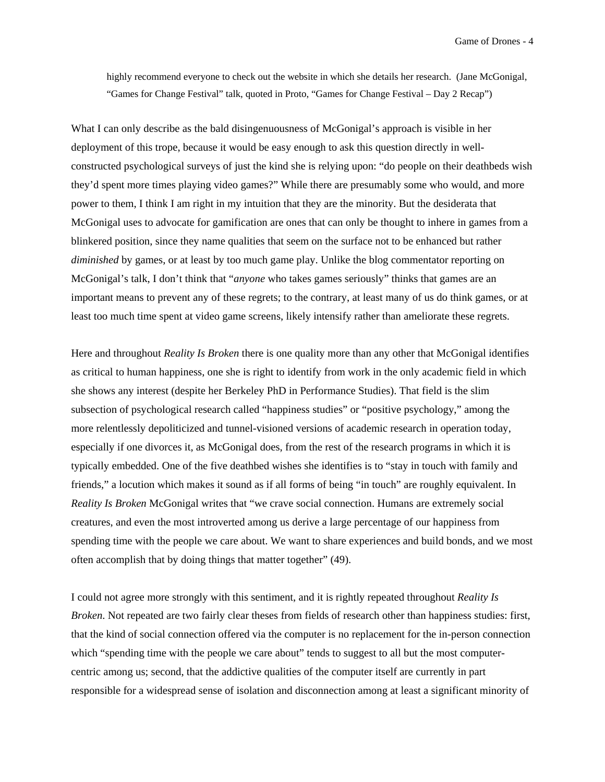highly recommend everyone to check out the website in which she details her research. (Jane McGonigal, "Games for Change Festival" talk, quoted in Proto, "Games for Change Festival – Day 2 Recap")

What I can only describe as the bald disingenuousness of McGonigal's approach is visible in her deployment of this trope, because it would be easy enough to ask this question directly in wellconstructed psychological surveys of just the kind she is relying upon: "do people on their deathbeds wish they'd spent more times playing video games?" While there are presumably some who would, and more power to them, I think I am right in my intuition that they are the minority. But the desiderata that McGonigal uses to advocate for gamification are ones that can only be thought to inhere in games from a blinkered position, since they name qualities that seem on the surface not to be enhanced but rather *diminished* by games, or at least by too much game play. Unlike the blog commentator reporting on McGonigal's talk, I don't think that "*anyone* who takes games seriously" thinks that games are an important means to prevent any of these regrets; to the contrary, at least many of us do think games, or at least too much time spent at video game screens, likely intensify rather than ameliorate these regrets.

Here and throughout *Reality Is Broken* there is one quality more than any other that McGonigal identifies as critical to human happiness, one she is right to identify from work in the only academic field in which she shows any interest (despite her Berkeley PhD in Performance Studies). That field is the slim subsection of psychological research called "happiness studies" or "positive psychology," among the more relentlessly depoliticized and tunnel-visioned versions of academic research in operation today, especially if one divorces it, as McGonigal does, from the rest of the research programs in which it is typically embedded. One of the five deathbed wishes she identifies is to "stay in touch with family and friends," a locution which makes it sound as if all forms of being "in touch" are roughly equivalent. In *Reality Is Broken* McGonigal writes that "we crave social connection. Humans are extremely social creatures, and even the most introverted among us derive a large percentage of our happiness from spending time with the people we care about. We want to share experiences and build bonds, and we most often accomplish that by doing things that matter together" (49).

I could not agree more strongly with this sentiment, and it is rightly repeated throughout *Reality Is Broken*. Not repeated are two fairly clear theses from fields of research other than happiness studies: first, that the kind of social connection offered via the computer is no replacement for the in-person connection which "spending time with the people we care about" tends to suggest to all but the most computercentric among us; second, that the addictive qualities of the computer itself are currently in part responsible for a widespread sense of isolation and disconnection among at least a significant minority of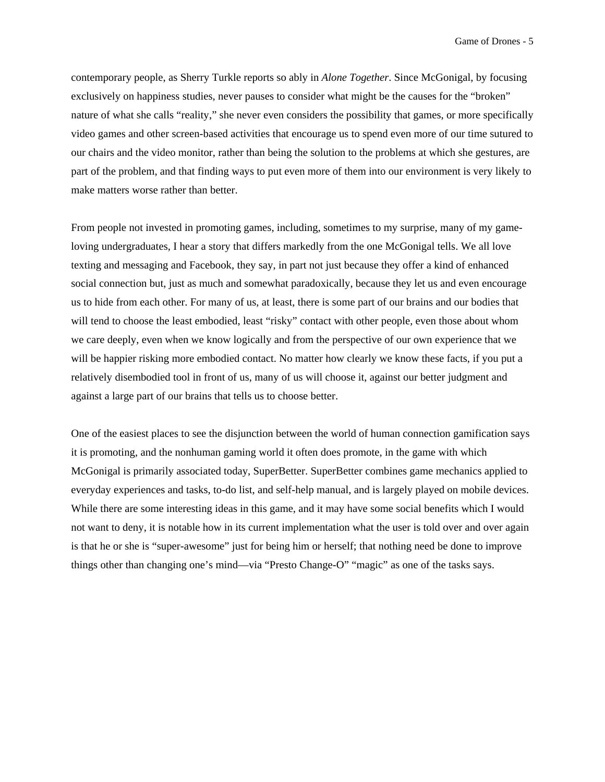contemporary people, as Sherry Turkle reports so ably in *Alone Together*. Since McGonigal, by focusing exclusively on happiness studies, never pauses to consider what might be the causes for the "broken" nature of what she calls "reality," she never even considers the possibility that games, or more specifically video games and other screen-based activities that encourage us to spend even more of our time sutured to our chairs and the video monitor, rather than being the solution to the problems at which she gestures, are part of the problem, and that finding ways to put even more of them into our environment is very likely to make matters worse rather than better.

From people not invested in promoting games, including, sometimes to my surprise, many of my gameloving undergraduates, I hear a story that differs markedly from the one McGonigal tells. We all love texting and messaging and Facebook, they say, in part not just because they offer a kind of enhanced social connection but, just as much and somewhat paradoxically, because they let us and even encourage us to hide from each other. For many of us, at least, there is some part of our brains and our bodies that will tend to choose the least embodied, least "risky" contact with other people, even those about whom we care deeply, even when we know logically and from the perspective of our own experience that we will be happier risking more embodied contact. No matter how clearly we know these facts, if you put a relatively disembodied tool in front of us, many of us will choose it, against our better judgment and against a large part of our brains that tells us to choose better.

One of the easiest places to see the disjunction between the world of human connection gamification says it is promoting, and the nonhuman gaming world it often does promote, in the game with which McGonigal is primarily associated today, SuperBetter. SuperBetter combines game mechanics applied to everyday experiences and tasks, to-do list, and self-help manual, and is largely played on mobile devices. While there are some interesting ideas in this game, and it may have some social benefits which I would not want to deny, it is notable how in its current implementation what the user is told over and over again is that he or she is "super-awesome" just for being him or herself; that nothing need be done to improve things other than changing one's mind—via "Presto Change-O" "magic" as one of the tasks says.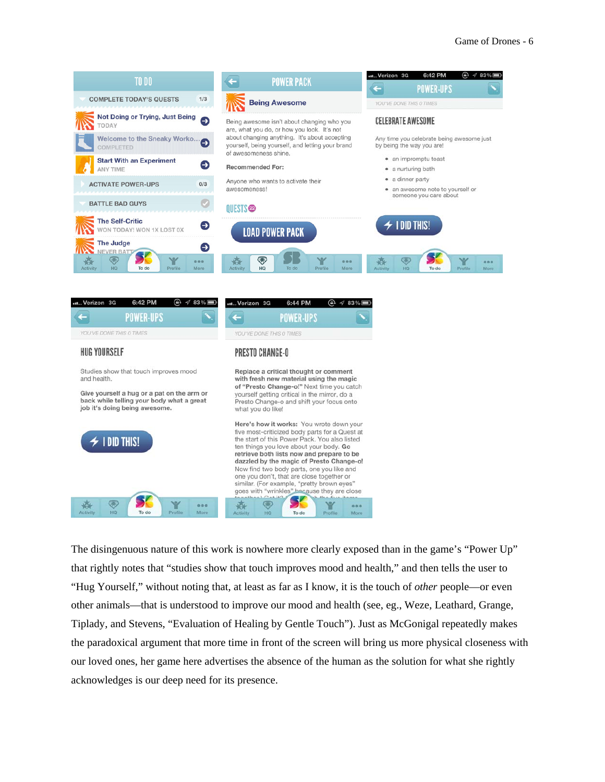

| 6:42 PM<br>Verizon 3G<br>ω<br>83%                                                                                                                                                                      | .u., Verizon 3G<br>6:44 PM<br>ω<br>83%                                                                                                                                                                                                                                                                                                                                                                                                                                 |
|--------------------------------------------------------------------------------------------------------------------------------------------------------------------------------------------------------|------------------------------------------------------------------------------------------------------------------------------------------------------------------------------------------------------------------------------------------------------------------------------------------------------------------------------------------------------------------------------------------------------------------------------------------------------------------------|
| <b>POWER-UPS</b>                                                                                                                                                                                       | <b>POWER-UPS</b>                                                                                                                                                                                                                                                                                                                                                                                                                                                       |
| YOU'VE DONE THIS O TIMES                                                                                                                                                                               | YOU'VE DONE THIS 0 TIMES                                                                                                                                                                                                                                                                                                                                                                                                                                               |
| <b>HUG YOURSELF</b>                                                                                                                                                                                    | PRESTO CHANGE-O                                                                                                                                                                                                                                                                                                                                                                                                                                                        |
| Studies show that touch improves mood<br>and health.<br>Give yourself a hug or a pat on the arm or<br>back while telling your body what a great<br>job it's doing being awesome.<br>$\neq$ 1 did this! | Replace a critical thought or comment<br>with fresh new material using the magic<br>of "Presto Change-o!" Next time you catch<br>yourself getting critical in the mirror, do a<br>Presto Change-o and shift your focus onto<br>what you do like!                                                                                                                                                                                                                       |
|                                                                                                                                                                                                        | Here's how it works: You wrote down your<br>five most-criticized body parts for a Quest at<br>the start of this Power Pack. You also listed<br>ten things you love about your body. Go<br>retrieve both lists now and prepare to be<br>dazzled by the magic of Presto Change-o!<br>Now find two body parts, one you like and<br>one you don't, that are close together or<br>similar. (For example, "pretty brown eyes"<br>goes with "wrinkles" because they are close |
| द्धार<br>0.00<br>HO<br>To do<br>Profile<br>More<br>Activity                                                                                                                                            | 000<br>HO<br>To do<br>Profile<br>More<br><b>Activity</b>                                                                                                                                                                                                                                                                                                                                                                                                               |

The disingenuous nature of this work is nowhere more clearly exposed than in the game's "Power Up" that rightly notes that "studies show that touch improves mood and health," and then tells the user to "Hug Yourself," without noting that, at least as far as I know, it is the touch of *other* people—or even other animals—that is understood to improve our mood and health (see, eg., Weze, Leathard, Grange, Tiplady, and Stevens, "Evaluation of Healing by Gentle Touch"). Just as McGonigal repeatedly makes the paradoxical argument that more time in front of the screen will bring us more physical closeness with our loved ones, her game here advertises the absence of the human as the solution for what she rightly acknowledges is our deep need for its presence.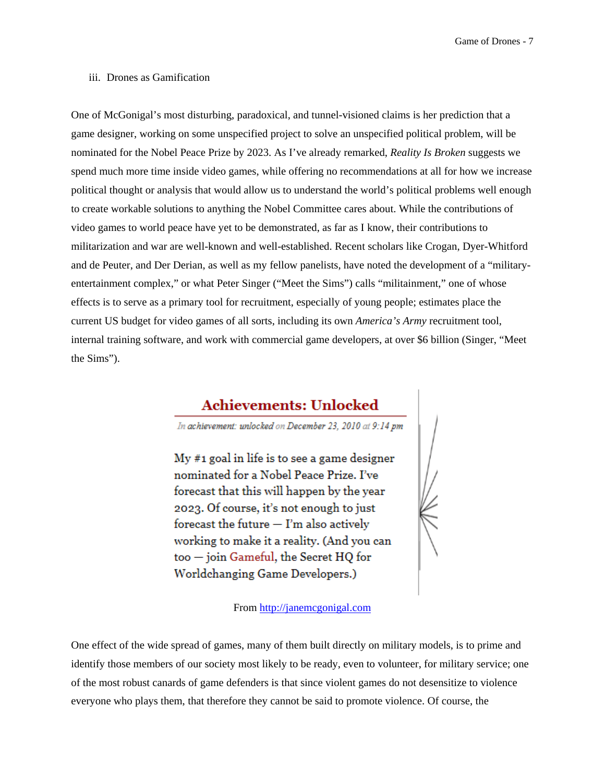Game of Drones - 7

#### iii. Drones as Gamification

One of McGonigal's most disturbing, paradoxical, and tunnel-visioned claims is her prediction that a game designer, working on some unspecified project to solve an unspecified political problem, will be nominated for the Nobel Peace Prize by 2023. As I've already remarked, *Reality Is Broken* suggests we spend much more time inside video games, while offering no recommendations at all for how we increase political thought or analysis that would allow us to understand the world's political problems well enough to create workable solutions to anything the Nobel Committee cares about. While the contributions of video games to world peace have yet to be demonstrated, as far as I know, their contributions to militarization and war are well-known and well-established. Recent scholars like Crogan, Dyer-Whitford and de Peuter, and Der Derian, as well as my fellow panelists, have noted the development of a "militaryentertainment complex," or what Peter Singer ("Meet the Sims") calls "militainment," one of whose effects is to serve as a primary tool for recruitment, especially of young people; estimates place the current US budget for video games of all sorts, including its own *America's Army* recruitment tool, internal training software, and work with commercial game developers, at over \$6 billion (Singer, "Meet the Sims").

# **Achievements: Unlocked**

In achievement: unlocked on December 23, 2010 at 9:14 pm

 $My #1$  goal in life is to see a game designer nominated for a Nobel Peace Prize. I've forecast that this will happen by the year 2023. Of course, it's not enough to just forecast the future  $-$  I'm also actively working to make it a reality. (And you can too - join Gameful, the Secret HQ for Worldchanging Game Developers.)

From http://janemcgonigal.com



One effect of the wide spread of games, many of them built directly on military models, is to prime and identify those members of our society most likely to be ready, even to volunteer, for military service; one of the most robust canards of game defenders is that since violent games do not desensitize to violence everyone who plays them, that therefore they cannot be said to promote violence. Of course, the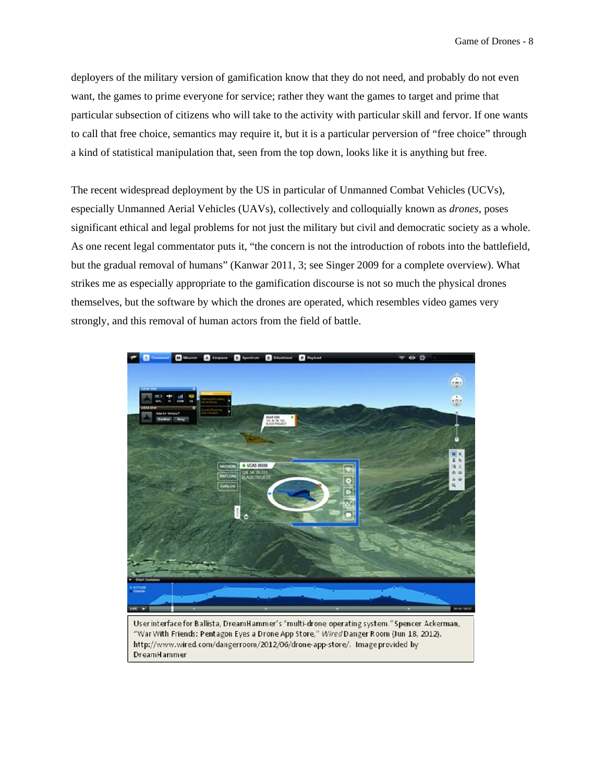deployers of the military version of gamification know that they do not need, and probably do not even want, the games to prime everyone for service; rather they want the games to target and prime that particular subsection of citizens who will take to the activity with particular skill and fervor. If one wants to call that free choice, semantics may require it, but it is a particular perversion of "free choice" through a kind of statistical manipulation that, seen from the top down, looks like it is anything but free.

The recent widespread deployment by the US in particular of Unmanned Combat Vehicles (UCVs), especially Unmanned Aerial Vehicles (UAVs), collectively and colloquially known as *drones*, poses significant ethical and legal problems for not just the military but civil and democratic society as a whole. As one recent legal commentator puts it, "the concern is not the introduction of robots into the battlefield, but the gradual removal of humans" (Kanwar 2011, 3; see Singer 2009 for a complete overview). What strikes me as especially appropriate to the gamification discourse is not so much the physical drones themselves, but the software by which the drones are operated, which resembles video games very strongly, and this removal of human actors from the field of battle.



"War With Friends: Pentagon Eyes a Drone App Store," Wired Danger Room (Jun 18, 2012). http://www.wired.com/dangerroom/2012/06/drone-app-store/. Image provided by **DreamHammer**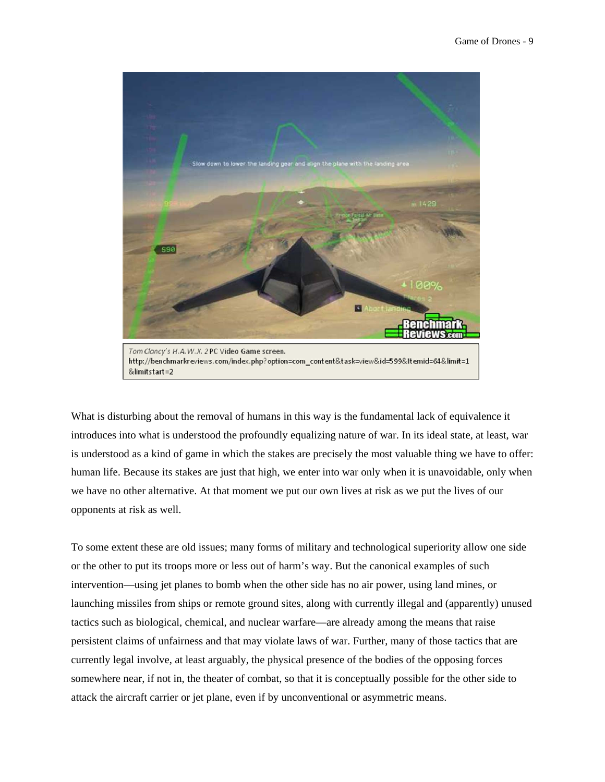

What is disturbing about the removal of humans in this way is the fundamental lack of equivalence it introduces into what is understood the profoundly equalizing nature of war. In its ideal state, at least, war is understood as a kind of game in which the stakes are precisely the most valuable thing we have to offer: human life. Because its stakes are just that high, we enter into war only when it is unavoidable, only when we have no other alternative. At that moment we put our own lives at risk as we put the lives of our opponents at risk as well.

To some extent these are old issues; many forms of military and technological superiority allow one side or the other to put its troops more or less out of harm's way. But the canonical examples of such intervention—using jet planes to bomb when the other side has no air power, using land mines, or launching missiles from ships or remote ground sites, along with currently illegal and (apparently) unused tactics such as biological, chemical, and nuclear warfare—are already among the means that raise persistent claims of unfairness and that may violate laws of war. Further, many of those tactics that are currently legal involve, at least arguably, the physical presence of the bodies of the opposing forces somewhere near, if not in, the theater of combat, so that it is conceptually possible for the other side to attack the aircraft carrier or jet plane, even if by unconventional or asymmetric means.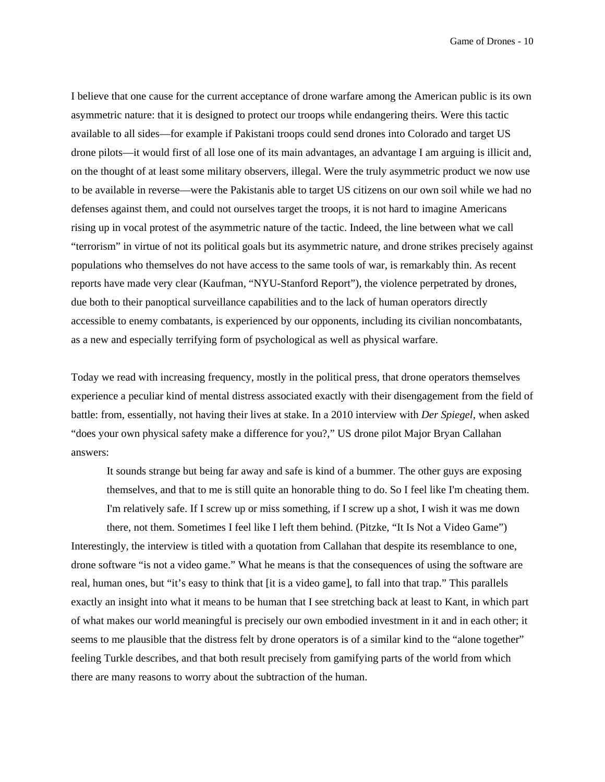Game of Drones - 10

I believe that one cause for the current acceptance of drone warfare among the American public is its own asymmetric nature: that it is designed to protect our troops while endangering theirs. Were this tactic available to all sides—for example if Pakistani troops could send drones into Colorado and target US drone pilots—it would first of all lose one of its main advantages, an advantage I am arguing is illicit and, on the thought of at least some military observers, illegal. Were the truly asymmetric product we now use to be available in reverse—were the Pakistanis able to target US citizens on our own soil while we had no defenses against them, and could not ourselves target the troops, it is not hard to imagine Americans rising up in vocal protest of the asymmetric nature of the tactic. Indeed, the line between what we call "terrorism" in virtue of not its political goals but its asymmetric nature, and drone strikes precisely against populations who themselves do not have access to the same tools of war, is remarkably thin. As recent reports have made very clear (Kaufman, "NYU-Stanford Report"), the violence perpetrated by drones, due both to their panoptical surveillance capabilities and to the lack of human operators directly accessible to enemy combatants, is experienced by our opponents, including its civilian noncombatants, as a new and especially terrifying form of psychological as well as physical warfare.

Today we read with increasing frequency, mostly in the political press, that drone operators themselves experience a peculiar kind of mental distress associated exactly with their disengagement from the field of battle: from, essentially, not having their lives at stake. In a 2010 interview with *Der Spiegel*, when asked "does your own physical safety make a difference for you?," US drone pilot Major Bryan Callahan answers:

It sounds strange but being far away and safe is kind of a bummer. The other guys are exposing themselves, and that to me is still quite an honorable thing to do. So I feel like I'm cheating them. I'm relatively safe. If I screw up or miss something, if I screw up a shot, I wish it was me down

there, not them. Sometimes I feel like I left them behind. (Pitzke, "It Is Not a Video Game") Interestingly, the interview is titled with a quotation from Callahan that despite its resemblance to one, drone software "is not a video game." What he means is that the consequences of using the software are real, human ones, but "it's easy to think that [it is a video game], to fall into that trap." This parallels exactly an insight into what it means to be human that I see stretching back at least to Kant, in which part of what makes our world meaningful is precisely our own embodied investment in it and in each other; it seems to me plausible that the distress felt by drone operators is of a similar kind to the "alone together" feeling Turkle describes, and that both result precisely from gamifying parts of the world from which there are many reasons to worry about the subtraction of the human.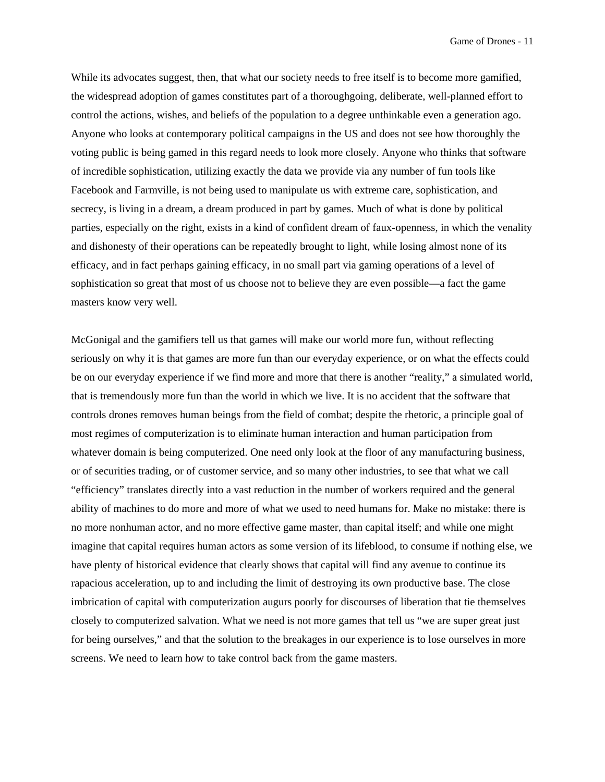While its advocates suggest, then, that what our society needs to free itself is to become more gamified, the widespread adoption of games constitutes part of a thoroughgoing, deliberate, well-planned effort to control the actions, wishes, and beliefs of the population to a degree unthinkable even a generation ago. Anyone who looks at contemporary political campaigns in the US and does not see how thoroughly the voting public is being gamed in this regard needs to look more closely. Anyone who thinks that software of incredible sophistication, utilizing exactly the data we provide via any number of fun tools like Facebook and Farmville, is not being used to manipulate us with extreme care, sophistication, and secrecy, is living in a dream, a dream produced in part by games. Much of what is done by political parties, especially on the right, exists in a kind of confident dream of faux-openness, in which the venality and dishonesty of their operations can be repeatedly brought to light, while losing almost none of its efficacy, and in fact perhaps gaining efficacy, in no small part via gaming operations of a level of sophistication so great that most of us choose not to believe they are even possible—a fact the game masters know very well.

McGonigal and the gamifiers tell us that games will make our world more fun, without reflecting seriously on why it is that games are more fun than our everyday experience, or on what the effects could be on our everyday experience if we find more and more that there is another "reality," a simulated world, that is tremendously more fun than the world in which we live. It is no accident that the software that controls drones removes human beings from the field of combat; despite the rhetoric, a principle goal of most regimes of computerization is to eliminate human interaction and human participation from whatever domain is being computerized. One need only look at the floor of any manufacturing business, or of securities trading, or of customer service, and so many other industries, to see that what we call "efficiency" translates directly into a vast reduction in the number of workers required and the general ability of machines to do more and more of what we used to need humans for. Make no mistake: there is no more nonhuman actor, and no more effective game master, than capital itself; and while one might imagine that capital requires human actors as some version of its lifeblood, to consume if nothing else, we have plenty of historical evidence that clearly shows that capital will find any avenue to continue its rapacious acceleration, up to and including the limit of destroying its own productive base. The close imbrication of capital with computerization augurs poorly for discourses of liberation that tie themselves closely to computerized salvation. What we need is not more games that tell us "we are super great just for being ourselves," and that the solution to the breakages in our experience is to lose ourselves in more screens. We need to learn how to take control back from the game masters.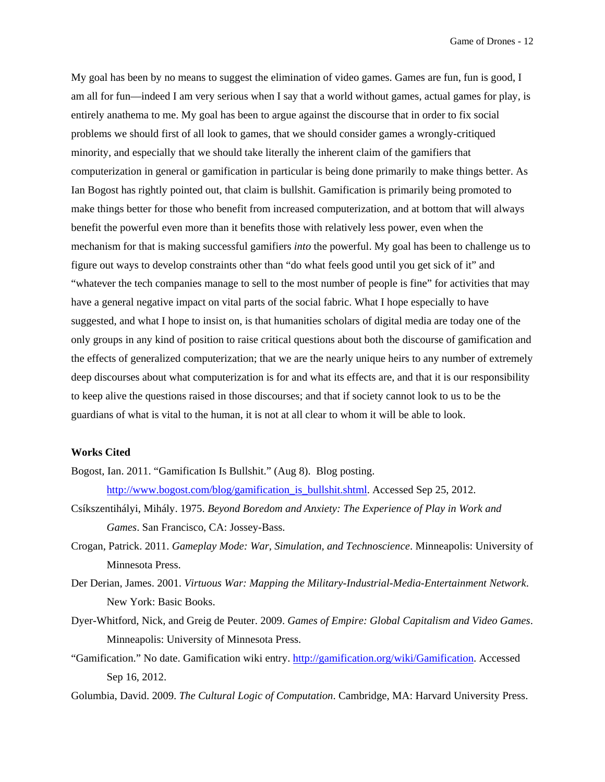My goal has been by no means to suggest the elimination of video games. Games are fun, fun is good, I am all for fun—indeed I am very serious when I say that a world without games, actual games for play, is entirely anathema to me. My goal has been to argue against the discourse that in order to fix social problems we should first of all look to games, that we should consider games a wrongly-critiqued minority, and especially that we should take literally the inherent claim of the gamifiers that computerization in general or gamification in particular is being done primarily to make things better. As Ian Bogost has rightly pointed out, that claim is bullshit. Gamification is primarily being promoted to make things better for those who benefit from increased computerization, and at bottom that will always benefit the powerful even more than it benefits those with relatively less power, even when the mechanism for that is making successful gamifiers *into* the powerful. My goal has been to challenge us to figure out ways to develop constraints other than "do what feels good until you get sick of it" and "whatever the tech companies manage to sell to the most number of people is fine" for activities that may have a general negative impact on vital parts of the social fabric. What I hope especially to have suggested, and what I hope to insist on, is that humanities scholars of digital media are today one of the only groups in any kind of position to raise critical questions about both the discourse of gamification and the effects of generalized computerization; that we are the nearly unique heirs to any number of extremely deep discourses about what computerization is for and what its effects are, and that it is our responsibility to keep alive the questions raised in those discourses; and that if society cannot look to us to be the guardians of what is vital to the human, it is not at all clear to whom it will be able to look.

### **Works Cited**

- Bogost, Ian. 2011. "Gamification Is Bullshit." (Aug 8). Blog posting. http://www.bogost.com/blog/gamification\_is\_bullshit.shtml. Accessed Sep 25, 2012.
- Csíkszentihályi, Mihály. 1975. *Beyond Boredom and Anxiety: The Experience of Play in Work and Games*. San Francisco, CA: Jossey-Bass.
- Crogan, Patrick. 2011. *Gameplay Mode: War, Simulation, and Technoscience*. Minneapolis: University of Minnesota Press.
- Der Derian, James. 2001. *Virtuous War: Mapping the Military-Industrial-Media-Entertainment Network*. New York: Basic Books.
- Dyer-Whitford, Nick, and Greig de Peuter. 2009. *Games of Empire: Global Capitalism and Video Games*. Minneapolis: University of Minnesota Press.
- "Gamification." No date. Gamification wiki entry. http://gamification.org/wiki/Gamification. Accessed Sep 16, 2012.
- Golumbia, David. 2009. *The Cultural Logic of Computation*. Cambridge, MA: Harvard University Press.